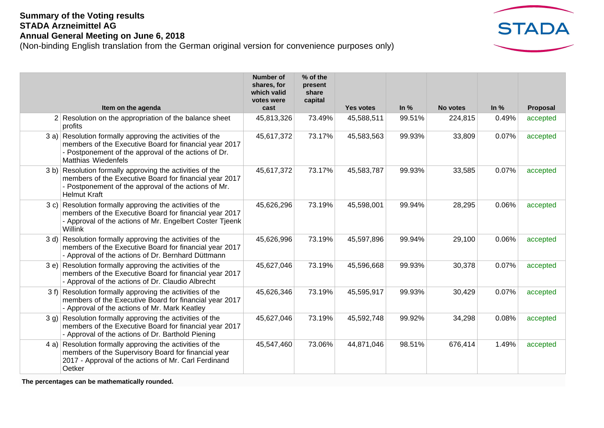## **Summary of the Voting results STADA Arzneimittel AG Annual General Meeting on June 6, 2018**

(Non-binding English translation from the German original version for convenience purposes only)



|                                                                                                                                                                                                   | <b>Number of</b><br>shares, for<br>which valid<br>votes were | % of the<br>present<br>share<br>capital |                  |        |          |        |          |
|---------------------------------------------------------------------------------------------------------------------------------------------------------------------------------------------------|--------------------------------------------------------------|-----------------------------------------|------------------|--------|----------|--------|----------|
| Item on the agenda                                                                                                                                                                                | cast                                                         |                                         | <b>Yes votes</b> | In $%$ | No votes | In $%$ | Proposal |
| 2 Resolution on the appropriation of the balance sheet<br>profits                                                                                                                                 | 45,813,326                                                   | 73.49%                                  | 45,588,511       | 99.51% | 224,815  | 0.49%  | accepted |
| 3 a) Resolution formally approving the activities of the<br>members of the Executive Board for financial year 2017<br>- Postponement of the approval of the actions of Dr.<br>Matthias Wiedenfels | 45,617,372                                                   | 73.17%                                  | 45,583,563       | 99.93% | 33,809   | 0.07%  | accepted |
| 3 b) Resolution formally approving the activities of the<br>members of the Executive Board for financial year 2017<br>- Postponement of the approval of the actions of Mr.<br><b>Helmut Kraft</b> | 45,617,372                                                   | 73.17%                                  | 45,583,787       | 99.93% | 33,585   | 0.07%  | accepted |
| 3 c) Resolution formally approving the activities of the<br>members of the Executive Board for financial year 2017<br>- Approval of the actions of Mr. Engelbert Coster Tjeenk<br>Willink         | 45,626,296                                                   | 73.19%                                  | 45,598,001       | 99.94% | 28,295   | 0.06%  | accepted |
| 3 d) Resolution formally approving the activities of the<br>members of the Executive Board for financial year 2017<br>- Approval of the actions of Dr. Bernhard Düttmann                          | 45,626,996                                                   | 73.19%                                  | 45,597,896       | 99.94% | 29,100   | 0.06%  | accepted |
| 3 e) Resolution formally approving the activities of the<br>members of the Executive Board for financial year 2017<br>- Approval of the actions of Dr. Claudio Albrecht                           | 45,627,046                                                   | 73.19%                                  | 45,596,668       | 99.93% | 30,378   | 0.07%  | accepted |
| 3 f) Resolution formally approving the activities of the<br>members of the Executive Board for financial year 2017<br>- Approval of the actions of Mr. Mark Keatley                               | 45,626,346                                                   | 73.19%                                  | 45,595,917       | 99.93% | 30,429   | 0.07%  | accepted |
| 3 g) Resolution formally approving the activities of the<br>members of the Executive Board for financial year 2017<br>- Approval of the actions of Dr. Barthold Piening                           | 45,627,046                                                   | 73.19%                                  | 45,592,748       | 99.92% | 34,298   | 0.08%  | accepted |
| 4 a) Resolution formally approving the activities of the<br>members of the Supervisory Board for financial year<br>2017 - Approval of the actions of Mr. Carl Ferdinand<br>Oetker                 | 45,547,460                                                   | 73.06%                                  | 44,871,046       | 98.51% | 676,414  | 1.49%  | accepted |

**The percentages can be mathematically rounded.**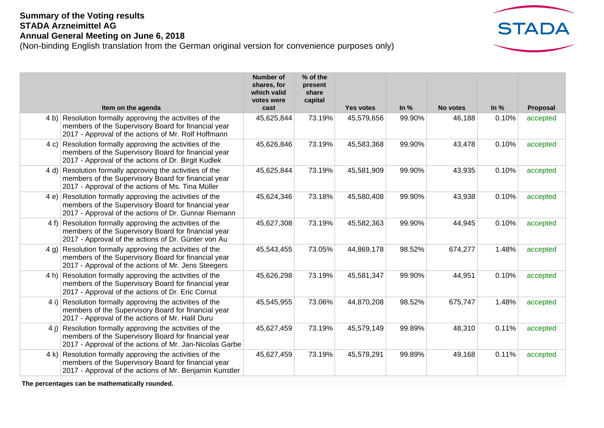## **Summary of the Voting results STADA Arzneimittel AG Annual General Meeting on June 6, 2018**

(Non-binding English translation from the German original version for convenience purposes only)



| Item on the agenda                                                                                                                                                         | <b>Number of</b><br>shares, for<br>which valid<br>votes were<br>cast | % of the<br>present<br>share<br>capital | <b>Yes votes</b> | In $%$ | No votes | ln %  | Proposal |
|----------------------------------------------------------------------------------------------------------------------------------------------------------------------------|----------------------------------------------------------------------|-----------------------------------------|------------------|--------|----------|-------|----------|
| 4 b) Resolution formally approving the activities of the<br>members of the Supervisory Board for financial year<br>2017 - Approval of the actions of Mr. Rolf Hoffmann     | 45,625,844                                                           | 73.19%                                  | 45,579,656       | 99.90% | 46,188   | 0.10% | accepted |
| 4 c) Resolution formally approving the activities of the<br>members of the Supervisory Board for financial year<br>2017 - Approval of the actions of Dr. Birgit Kudlek     | 45,626,846                                                           | 73.19%                                  | 45,583,368       | 99.90% | 43,478   | 0.10% | accepted |
| 4 d) Resolution formally approving the activities of the<br>members of the Supervisory Board for financial year<br>2017 - Approval of the actions of Ms. Tina Müller       | 45,625,844                                                           | 73.19%                                  | 45,581,909       | 99.90% | 43,935   | 0.10% | accepted |
| 4 e) Resolution formally approving the activities of the<br>members of the Supervisory Board for financial year<br>2017 - Approval of the actions of Dr. Gunnar Riemann    | 45,624,346                                                           | 73.18%                                  | 45,580,408       | 99.90% | 43,938   | 0.10% | accepted |
| 4 f) Resolution formally approving the activities of the<br>members of the Supervisory Board for financial year<br>2017 - Approval of the actions of Dr. Günter von Au     | 45,627,308                                                           | 73.19%                                  | 45,582,363       | 99.90% | 44,945   | 0.10% | accepted |
| 4 g) Resolution formally approving the activities of the<br>members of the Supervisory Board for financial year<br>2017 - Approval of the actions of Mr. Jens Steegers     | 45,543,455                                                           | 73.05%                                  | 44,869,178       | 98.52% | 674,277  | 1.48% | accepted |
| 4 h) Resolution formally approving the activities of the<br>members of the Supervisory Board for financial year<br>2017 - Approval of the actions of Dr. Eric Cornut       | 45,626,298                                                           | 73.19%                                  | 45,581,347       | 99.90% | 44,951   | 0.10% | accepted |
| 4 i) Resolution formally approving the activities of the<br>members of the Supervisory Board for financial year<br>2017 - Approval of the actions of Mr. Halil Duru        | 45,545,955                                                           | 73.06%                                  | 44,870,208       | 98.52% | 675,747  | 1.48% | accepted |
| 4 j) Resolution formally approving the activities of the<br>members of the Supervisory Board for financial year<br>2017 - Approval of the actions of Mr. Jan-Nicolas Garbe | 45,627,459                                                           | 73.19%                                  | 45,579,149       | 99.89% | 48,310   | 0.11% | accepted |
| 4 k) Resolution formally approving the activities of the<br>members of the Supervisory Board for financial year<br>2017 - Approval of the actions of Mr. Benjamin Kunstler | 45,627,459                                                           | 73.19%                                  | 45,578,291       | 99.89% | 49,168   | 0.11% | accepted |

**The percentages can be mathematically rounded.**